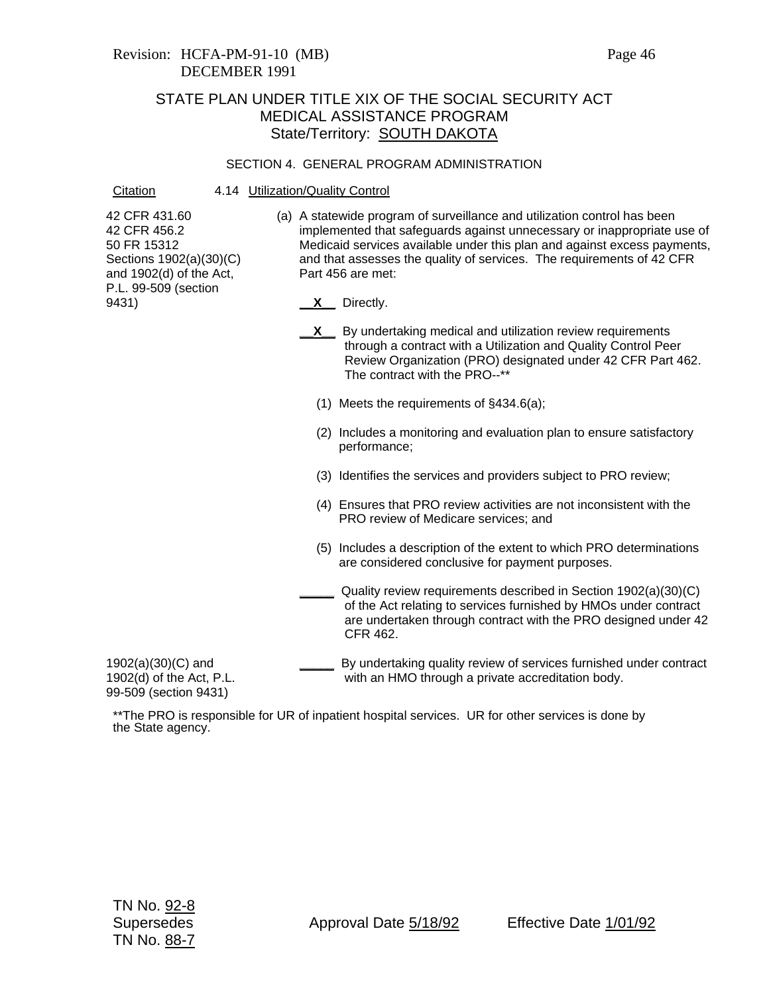### Revision: HCFA-PM-91-10 (MB) Page 46 DECEMBER 1991

### STATE PLAN UNDER TITLE XIX OF THE SOCIAL SECURITY ACT MEDICAL ASSISTANCE PROGRAM State/Territory: SOUTH DAKOTA

#### SECTION 4. GENERAL PROGRAM ADMINISTRATION

#### Citation 4.14 Utilization/Quality Control

42 CFR 431.60 42 CFR 456.2 50 FR 15312 Sections 1902(a)(30)(C) and 1902(d) of the Act, P.L. 99-509 (section 9431)

- (a) A statewide program of surveillance and utilization control has been implemented that safeguards against unnecessary or inappropriate use of Medicaid services available under this plan and against excess payments, and that assesses the quality of services. The requirements of 42 CFR Part 456 are met:
	- **\_\_X\_\_** Directly.
	- **X** By undertaking medical and utilization review requirements through a contract with a Utilization and Quality Control Peer Review Organization (PRO) designated under 42 CFR Part 462. The contract with the PRO--\*\*
		- (1) Meets the requirements of §434.6(a);
		- (2) Includes a monitoring and evaluation plan to ensure satisfactory performance;
		- (3) Identifies the services and providers subject to PRO review;
		- (4) Ensures that PRO review activities are not inconsistent with the PRO review of Medicare services; and
		- (5) Includes a description of the extent to which PRO determinations are considered conclusive for payment purposes.
		- **\_\_\_\_\_** Quality review requirements described in Section 1902(a)(30)(C) of the Act relating to services furnished by HMOs under contract are undertaken through contract with the PRO designed under 42 CFR 462.

1902(a)(30)(C) and 1902(d) of the Act, P.L. 99-509 (section 9431)

**\_\_\_\_\_** By undertaking quality review of services furnished under contract with an HMO through a private accreditation body.

\*\*The PRO is responsible for UR of inpatient hospital services. UR for other services is done by the State agency.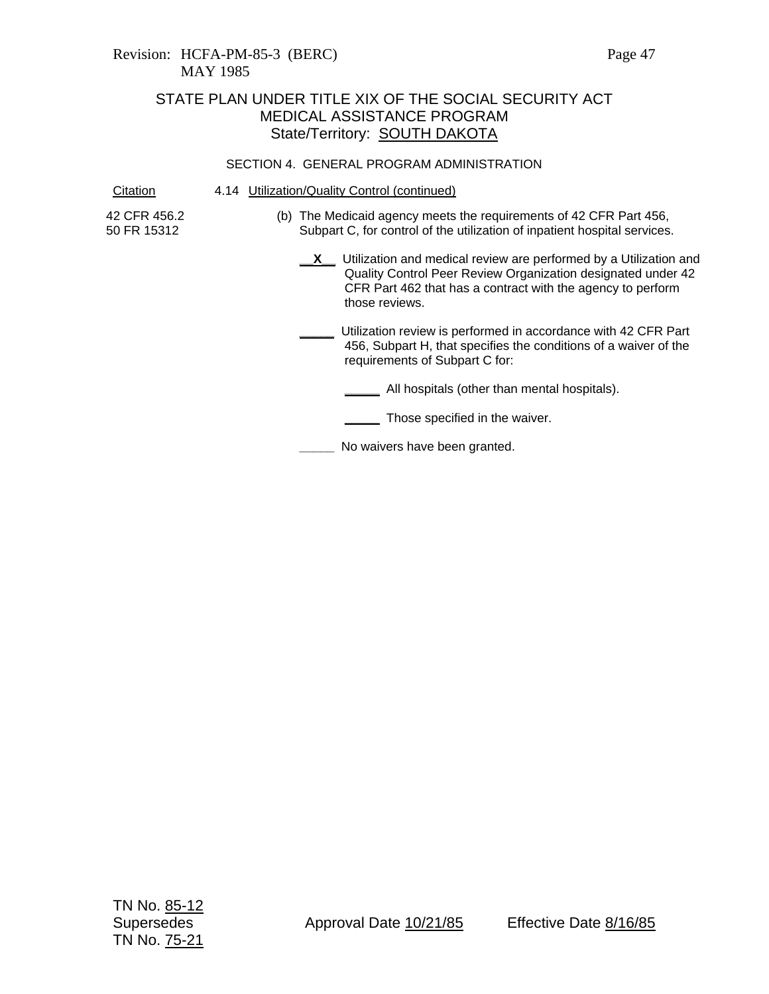### Revision: HCFA-PM-85-3 (BERC) Page 47 MAY 1985

# STATE PLAN UNDER TITLE XIX OF THE SOCIAL SECURITY ACT MEDICAL ASSISTANCE PROGRAM State/Territory: **SOUTH DAKOTA**

#### SECTION 4. GENERAL PROGRAM ADMINISTRATION

Citation 4.14 Utilization/Quality Control (continued)

42 CFR 456.2 50 FR 15312

- (b) The Medicaid agency meets the requirements of 42 CFR Part 456, Subpart C, for control of the utilization of inpatient hospital services.
	- **X** Utilization and medical review are performed by a Utilization and Quality Control Peer Review Organization designated under 42 CFR Part 462 that has a contract with the agency to perform those reviews.
	- **\_\_\_\_\_** Utilization review is performed in accordance with 42 CFR Part 456, Subpart H, that specifies the conditions of a waiver of the requirements of Subpart C for:

**\_\_\_\_\_** All hospitals (other than mental hospitals).

**\_\_\_\_\_** Those specified in the waiver.

**\_\_\_\_\_** No waivers have been granted.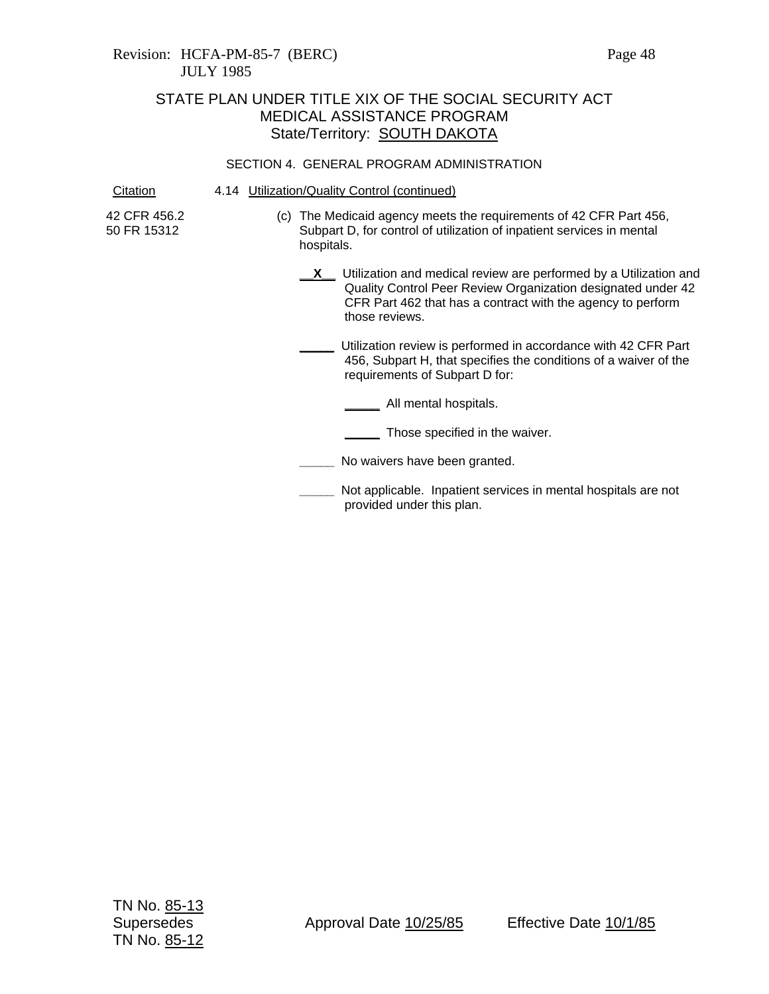# STATE PLAN UNDER TITLE XIX OF THE SOCIAL SECURITY ACT MEDICAL ASSISTANCE PROGRAM State/Territory: **SOUTH DAKOTA**

#### SECTION 4. GENERAL PROGRAM ADMINISTRATION

Citation 4.14 Utilization/Quality Control (continued)

42 CFR 456.2 50 FR 15312

- (c) The Medicaid agency meets the requirements of 42 CFR Part 456, Subpart D, for control of utilization of inpatient services in mental hospitals.
	- **X** Utilization and medical review are performed by a Utilization and Quality Control Peer Review Organization designated under 42 CFR Part 462 that has a contract with the agency to perform those reviews.
	- **\_\_\_\_\_** Utilization review is performed in accordance with 42 CFR Part 456, Subpart H, that specifies the conditions of a waiver of the requirements of Subpart D for:

**\_\_\_\_\_** All mental hospitals.

- **\_\_\_\_\_** Those specified in the waiver.
- **\_\_\_\_\_** No waivers have been granted.
- **\_\_\_\_\_** Not applicable. Inpatient services in mental hospitals are not provided under this plan.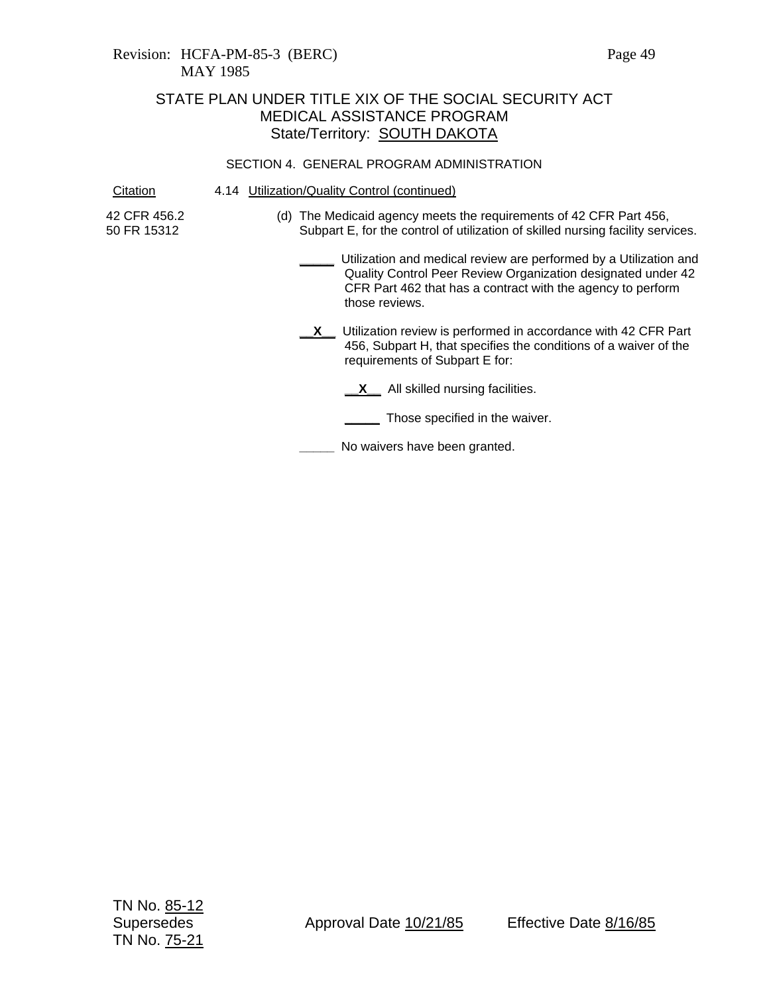# STATE PLAN UNDER TITLE XIX OF THE SOCIAL SECURITY ACT MEDICAL ASSISTANCE PROGRAM State/Territory: **SOUTH DAKOTA**

#### SECTION 4. GENERAL PROGRAM ADMINISTRATION

Citation 4.14 Utilization/Quality Control (continued)

42 CFR 456.2 50 FR 15312

- (d) The Medicaid agency meets the requirements of 42 CFR Part 456, Subpart E, for the control of utilization of skilled nursing facility services.
	- **\_\_\_\_\_** Utilization and medical review are performed by a Utilization and Quality Control Peer Review Organization designated under 42 CFR Part 462 that has a contract with the agency to perform those reviews.
	- **X** Utilization review is performed in accordance with 42 CFR Part 456, Subpart H, that specifies the conditions of a waiver of the requirements of Subpart E for:
		- **\_\_X\_** All skilled nursing facilities.
		- **\_\_\_\_\_** Those specified in the waiver.

**\_\_\_\_\_** No waivers have been granted.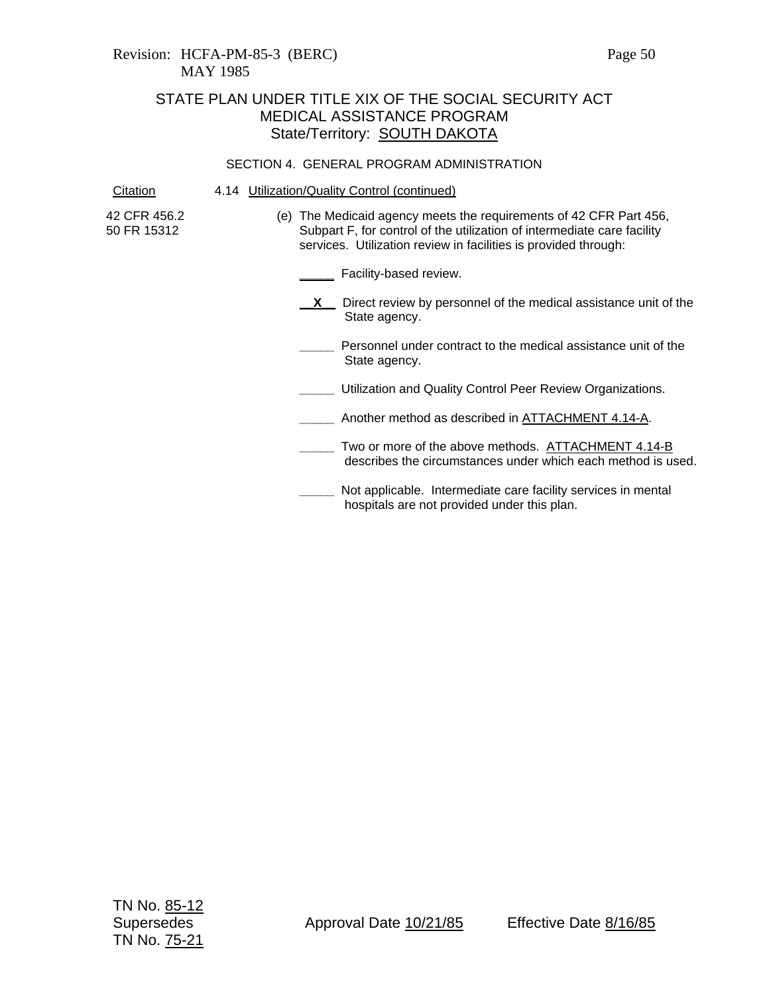# STATE PLAN UNDER TITLE XIX OF THE SOCIAL SECURITY ACT MEDICAL ASSISTANCE PROGRAM State/Territory: SOUTH DAKOTA

#### SECTION 4. GENERAL PROGRAM ADMINISTRATION

| Citation                    | 4.14 Utilization/Quality Control (continued)                                                                                                                                                                     |
|-----------------------------|------------------------------------------------------------------------------------------------------------------------------------------------------------------------------------------------------------------|
| 42 CFR 456.2<br>50 FR 15312 | (e) The Medicaid agency meets the requirements of 42 CFR Part 456,<br>Subpart F, for control of the utilization of intermediate care facility<br>services. Utilization review in facilities is provided through: |
|                             | Facility-based review.                                                                                                                                                                                           |
|                             | Direct review by personnel of the medical assistance unit of the<br>State agency.                                                                                                                                |
|                             | Personnel under contract to the medical assistance unit of the<br>State agency.                                                                                                                                  |
|                             | Utilization and Quality Control Peer Review Organizations.                                                                                                                                                       |
|                             | Another method as described in ATTACHMENT 4.14-A.                                                                                                                                                                |
|                             | Two or more of the above methods. ATTACHMENT 4.14-B<br>describes the circumstances under which each method is used.                                                                                              |
|                             | Not applicable. Intermediate care facility services in mental<br>hospitals are not provided under this plan.                                                                                                     |